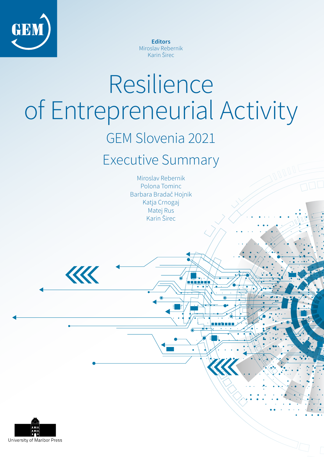

**Editors** Miroslav Rebernik Karin Širec

# Resilience of Entrepreneurial Activity

# GEM Slovenia 2021

# Executive Summary

Miroslav Rebernik Polona Tominc Barbara Bradač Hojnik Katja Crnogaj Matej Rus Karin Širec



KK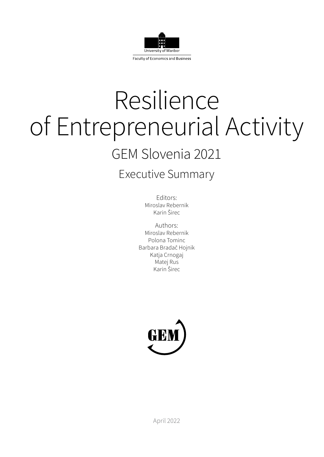

# Resilience of Entrepreneurial Activity GEM Slovenia 2021

## Executive Summary

Editors: Miroslav Rebernik Karin Širec

Authors: Miroslav Rebernik Polona Tominc Barbara Bradač Hojnik Katja Crnogaj Matej Rus Karin Širec

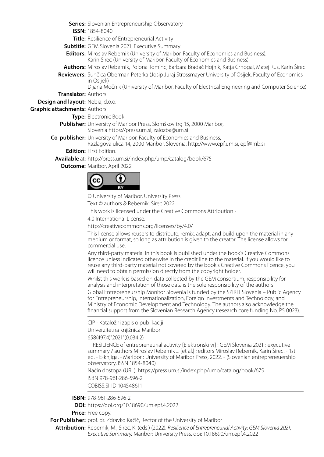**Series:** Slovenian Entrepreneurship Observatory

**ISSN:** 1854-8040

**Title:** Resilience of Entrepreneurial Activity

**Subtitle:** GEM Slovenia 2021, Executive Summary

**Editors:** Miroslav Rebernik (University of Maribor, Faculty of Economics and Business), Karin Širec (University of Maribor, Faculty of Economics and Business)

**Authors:** Miroslav Rebernik, Polona Tominc, Barbara Bradač Hojnik, Katja Crnogaj, Matej Rus, Karin Širec

**Reviewers:** Sunčica Oberman Peterka (Josip Juraj Strossmayer University of Osijek, Faculty of Economics in Osijek)

Dijana Močnik (University of Maribor, Faculty of Electrical Engineering and Computer Science) **Translator:** Authors.

**Design and layout:** Nebia, d.o.o.

**Graphic attachments:** Authors.

**Type:** Electronic Book.

**Publisher:** University of Maribor Press, Slomškov trg 15, 2000 Maribor,

Slovenia https://press.um.si, zalozba@um.si

**Co-publisher:** University of Maribor, Faculty of Economics and Business,

Razlagova ulica 14, 2000 Maribor, Slovenia, http://www.epf.um.si, epf@mb.si

**Edition:** First Edition.

**Available** at: http://press.um.si/index.php/ump/catalog/book/675

**Outcome:** Maribor, April 2022



© University of Maribor, University Press

Text © authors & Rebernik, Širec 2022

This work is licensed under the Creative Commons Attribution -

4.0 International License.

http://creativecommons.org/licenses/by/4.0/

This license allows reusers to distribute, remix, adapt, and build upon the material in any medium or format, so long as attribution is given to the creator. The license allows for commercial use.

Any third-party material in this book is published under the book's Creative Commons licence unless indicated otherwise in the credit line to the material. If you would like to reuse any third-party material not covered by the book's Creative Commons licence, you will need to obtain permission directly from the copyright holder.

Whilst this work is based on data collected by the GEM consortium, responsibility for analysis and interpretation of those data is the sole responsibility of the authors.

Global Entrepreneurship Monitor Slovenia is funded by the SPIRIT Slovenia – Public Agency for Entrepreneurship, Internationalization, Foreign Investments and Technology, and Ministry of Economic Development and Technology. The authors also acknowledge the financial support from the Slovenian Research Agency (research core funding No. P5 0023).

CIP - Kataložni zapis o publikaciji

Univerzitetna knjižnica Maribor

658(497.4)"2021"(0.034.2)

 RESILIENCE of entrepreneurial activity [Elektronski vr] : GEM Slovenia 2021 : executive summary / authors Miroslav Rebernik ... [et al.] ; editors Miroslav Rebernik, Karin Širec. - 1st ed. - E-knjiga. - Maribor : University of Maribor Press, 2022. - (Slovenian entrepreneuership observatory, ISSN 1854-8040)

Način dostopa (URL): https://press.um.si/index.php/ump/catalog/book/675 ISBN 978-961-286-596-2 COBISS.SI-ID 104548611

**ISBN:** 978-961-286-596-2

**DOI:** https://doi.org/10.18690/um.epf.4.2022

**Price:** Free copy.

**For Publisher:** prof. dr. Zdravko Kačič, Rector of the University of Maribor

**Attribution:** Rebernik, M., Širec, K. (eds.) (2022). *Resilience of Entrepreneurial Activity: GEM Slovenia 2021, Executive Summary.* Maribor: University Press. doi: 10.18690/um.epf.4.2022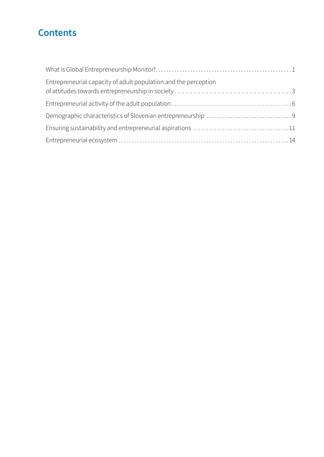## **Contents**

| Entrepreneurial capacity of adult population and the perception |  |
|-----------------------------------------------------------------|--|
|                                                                 |  |
|                                                                 |  |
|                                                                 |  |
|                                                                 |  |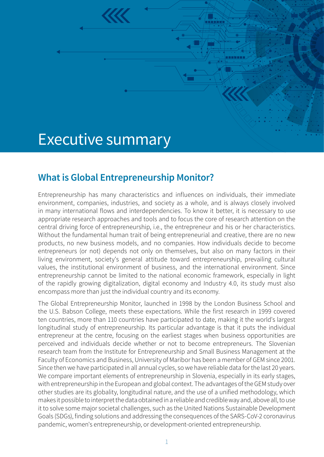# <span id="page-6-0"></span>Executive summary

## **What is Global Entrepreneurship Monitor?**

Entrepreneurship has many characteristics and influences on individuals, their immediate environment, companies, industries, and society as a whole, and is always closely involved in many international flows and interdependencies. To know it better, it is necessary to use appropriate research approaches and tools and to focus the core of research attention on the central driving force of entrepreneurship, i.e., the entrepreneur and his or her characteristics. Without the fundamental human trait of being entrepreneurial and creative, there are no new products, no new business models, and no companies. How individuals decide to become entrepreneurs (or not) depends not only on themselves, but also on many factors in their living environment, society's general attitude toward entrepreneurship, prevailing cultural values, the institutional environment of business, and the international environment. Since entrepreneurship cannot be limited to the national economic framework, especially in light of the rapidly growing digitalization, digital economy and Industry 4.0, its study must also encompass more than just the individual country and its economy.

The Global Entrepreneurship Monitor, launched in 1998 by the London Business School and the U.S. Babson College, meets these expectations. While the first research in 1999 covered ten countries, more than 110 countries have participated to date, making it the world's largest longitudinal study of entrepreneurship. Its particular advantage is that it puts the individual entrepreneur at the centre, focusing on the earliest stages when business opportunities are perceived and individuals decide whether or not to become entrepreneurs. The Slovenian research team from the Institute for Entrepreneurship and Small Business Management at the Faculty of Economics and Business, University of Maribor has been a member of GEM since 2001. Since then we have participated in all annual cycles, so we have reliable data for the last 20 years. We compare important elements of entrepreneurship in Slovenia, especially in its early stages, with entrepreneurship in the European and global context. The advantages of the GEM study over other studies are its globality, longitudinal nature, and the use of a unified methodology, which makes it possible to interpret the data obtained in a reliable and credible way and, above all, to use it to solve some major societal challenges, such as the United Nations Sustainable Development Goals (SDGs), finding solutions and addressing the consequences of the SARS-CoV-2 coronavirus pandemic, women's entrepreneurship, or development-oriented entrepreneurship.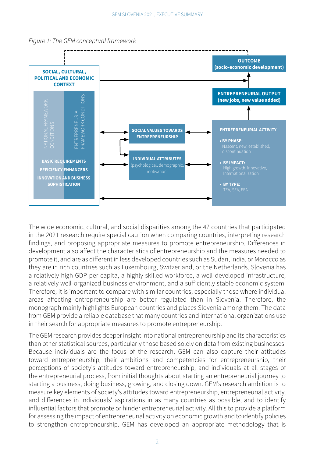



The wide economic, cultural, and social disparities among the 47 countries that participated in the 2021 research require special caution when comparing countries, interpreting research findings, and proposing appropriate measures to promote entrepreneurship. Differences in development also affect the characteristics of entrepreneurship and the measures needed to promote it, and are as different in less developed countries such as Sudan, India, or Morocco as they are in rich countries such as Luxembourg, Switzerland, or the Netherlands. Slovenia has a relatively high GDP per capita, a highly skilled workforce, a well-developed infrastructure, a relatively well-organized business environment, and a sufficiently stable economic system. Therefore, it is important to compare with similar countries, especially those where individual areas affecting entrepreneurship are better regulated than in Slovenia. Therefore, the monograph mainly highlights European countries and places Slovenia among them. The data from GEM provide a reliable database that many countries and international organizations use in their search for appropriate measures to promote entrepreneurship.

The GEM research provides deeper insight into national entrepreneurship and its characteristics than other statistical sources, particularly those based solely on data from existing businesses. Because individuals are the focus of the research, GEM can also capture their attitudes toward entrepreneurship, their ambitions and competencies for entrepreneurship, their perceptions of society's attitudes toward entrepreneurship, and individuals at all stages of the entrepreneurial process, from initial thoughts about starting an entrepreneurial journey to starting a business, doing business, growing, and closing down. GEM's research ambition is to measure key elements of society's attitudes toward entrepreneurship, entrepreneurial activity, and differences in individuals' aspirations in as many countries as possible, and to identify influential factors that promote or hinder entrepreneurial activity. All this to provide a platform for assessing the impact of entrepreneurial activity on economic growth and to identify policies to strengthen entrepreneurship. GEM has developed an appropriate methodology that is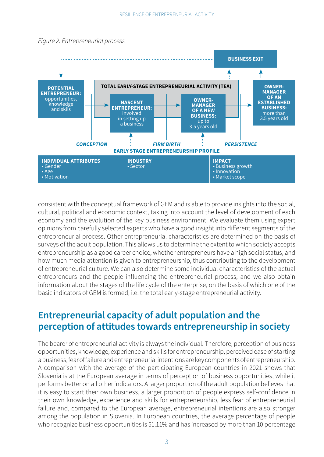

#### <span id="page-8-0"></span>*Figure 2: Entrepreneurial process*

consistent with the conceptual framework of GEM and is able to provide insights into the social, cultural, political and economic context, taking into account the level of development of each economy and the evolution of the key business environment. We evaluate them using expert opinions from carefully selected experts who have a good insight into different segments of the entrepreneurial process. Other entrepreneurial characteristics are determined on the basis of surveys of the adult population. This allows us to determine the extent to which society accepts entrepreneurship as a good career choice, whether entrepreneurs have a high social status, and how much media attention is given to entrepreneurship, thus contributing to the development of entrepreneurial culture. We can also determine some individual characteristics of the actual entrepreneurs and the people influencing the entrepreneurial process, and we also obtain information about the stages of the life cycle of the enterprise, on the basis of which one of the basic indicators of GEM is formed, i.e. the total early-stage entrepreneurial activity.

#### **Entrepreneurial capacity of adult population and the perception of attitudes towards entrepreneurship in society**

The bearer of entrepreneurial activity is always the individual. Therefore, perception of business opportunities, knowledge, experience and skills for entrepreneurship, perceived ease of starting a business, fear of failure and entrepreneurial intentions are key components of entrepreneurship. A comparison with the average of the participating European countries in 2021 shows that Slovenia is at the European average in terms of perception of business opportunities, while it performs better on all other indicators. A larger proportion of the adult population believes that it is easy to start their own business, a larger proportion of people express self-confidence in their own knowledge, experience and skills for entrepreneurship, less fear of entrepreneurial failure and, compared to the European average, entrepreneurial intentions are also stronger among the population in Slovenia. In European countries, the average percentage of people who recognize business opportunities is 51.11% and has increased by more than 10 percentage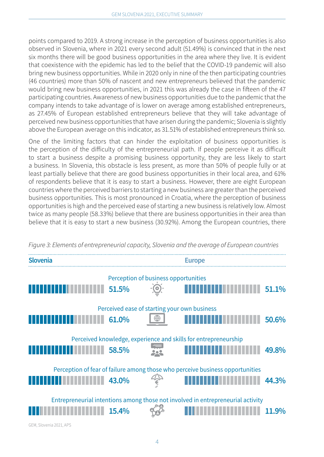points compared to 2019. A strong increase in the perception of business opportunities is also observed in Slovenia, where in 2021 every second adult (51.49%) is convinced that in the next six months there will be good business opportunities in the area where they live. It is evident that coexistence with the epidemic has led to the belief that the COVID-19 pandemic will also bring new business opportunities. While in 2020 only in nine of the then participating countries (46 countries) more than 50% of nascent and new entrepreneurs believed that the pandemic would bring new business opportunities, in 2021 this was already the case in fifteen of the 47 participating countries. Awareness of new business opportunities due to the pandemic that the company intends to take advantage of is lower on average among established entrepreneurs, as 27.45% of European established entrepreneurs believe that they will take advantage of perceived new business opportunities that have arisen during the pandemic; Slovenia is slightly above the European average on this indicator, as 31.51% of established entrepreneurs think so.

One of the limiting factors that can hinder the exploitation of business opportunities is the perception of the difficulty of the entrepreneurial path. If people perceive it as difficult to start a business despite a promising business opportunity, they are less likely to start a business. In Slovenia, this obstacle is less present, as more than 50% of people fully or at least partially believe that there are good business opportunities in their local area, and 61% of respondents believe that it is easy to start a business. However, there are eight European countries where the perceived barriers to starting a new business are greater than the perceived business opportunities. This is most pronounced in Croatia, where the perception of business opportunities is high and the perceived ease of starting a new business is relatively low. Almost twice as many people (58.33%) believe that there are business opportunities in their area than believe that it is easy to start a new business (30.92%). Among the European countries, there



*Figure 3: Elements of entrepreneurial capacity, Slovenia and the average of European countries*

GEM, Slovenia 2021, APS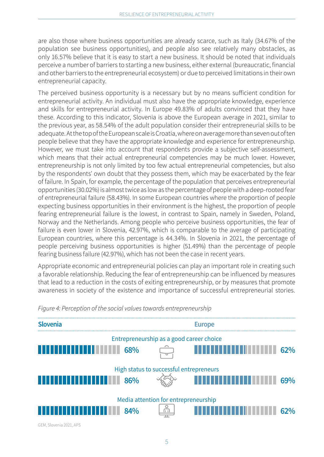are also those where business opportunities are already scarce, such as Italy (34.67% of the population see business opportunities), and people also see relatively many obstacles, as only 16.57% believe that it is easy to start a new business. It should be noted that individuals perceive a number of barriers to starting a new business, either external (bureaucratic, financial and other barriers to the entrepreneurial ecosystem) or due to perceived limitations in their own entrepreneurial capacity.

The perceived business opportunity is a necessary but by no means sufficient condition for entrepreneurial activity. An individual must also have the appropriate knowledge, experience and skills for entrepreneurial activity. In Europe 49.83% of adults convinced that they have these. According to this indicator, Slovenia is above the European average in 2021, similar to the previous year, as 58.54% of the adult population consider their entrepreneurial skills to be adequate. At the top of the European scale is Croatia, where on average more than seven out of ten people believe that they have the appropriate knowledge and experience for entrepreneurship. However, we must take into account that respondents provide a subjective self-assessment, which means that their actual entrepreneurial competencies may be much lower. However, entrepreneurship is not only limited by too few actual entrepreneurial competencies, but also by the respondents' own doubt that they possess them, which may be exacerbated by the fear of failure. In Spain, for example, the percentage of the population that perceives entrepreneurial opportunities (30.02%) is almost twice as low as the percentage of people with a deep-rooted fear of entrepreneurial failure (58.43%). In some European countries where the proportion of people expecting business opportunities in their environment is the highest, the proportion of people fearing entrepreneurial failure is the lowest, in contrast to Spain, namely in Sweden, Poland, Norway and the Netherlands. Among people who perceive business opportunities, the fear of failure is even lower in Slovenia, 42.97%, which is comparable to the average of participating European countries, where this percentage is 44.34%. In Slovenia in 2021, the percentage of people perceiving business opportunities is higher (51.49%) than the percentage of people fearing business failure (42.97%), which has not been the case in recent years.

Appropriate economic and entrepreneurial policies can play an important role in creating such a favorable relationship. Reducing the fear of entrepreneurship can be influenced by measures that lead to a reduction in the costs of exiting entrepreneurship, or by measures that promote awareness in society of the existence and importance of successful entrepreneurial stories.



*Figure 4: Perception of the social values towards entrepreneurship*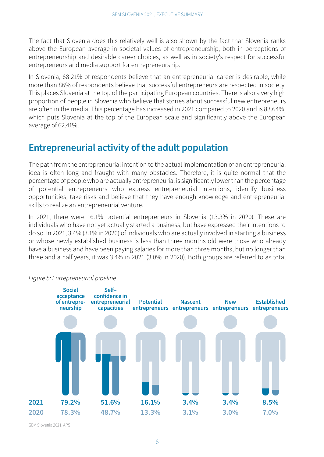<span id="page-11-0"></span>The fact that Slovenia does this relatively well is also shown by the fact that Slovenia ranks above the European average in societal values of entrepreneurship, both in perceptions of entrepreneurship and desirable career choices, as well as in society's respect for successful entrepreneurs and media support for entrepreneurship.

In Slovenia, 68.21% of respondents believe that an entrepreneurial career is desirable, while more than 86% of respondents believe that successful entrepreneurs are respected in society. This places Slovenia at the top of the participating European countries. There is also a very high proportion of people in Slovenia who believe that stories about successful new entrepreneurs are often in the media. This percentage has increased in 2021 compared to 2020 and is 83.64%, which puts Slovenia at the top of the European scale and significantly above the European average of 62.41%.

## **Entrepreneurial activity of the adult population**

The path from the entrepreneurial intention to the actual implementation of an entrepreneurial idea is often long and fraught with many obstacles. Therefore, it is quite normal that the percentage of people who are actually entrepreneurial is significantly lower than the percentage of potential entrepreneurs who express entrepreneurial intentions, identify business opportunities, take risks and believe that they have enough knowledge and entrepreneurial skills to realize an entrepreneurial venture.

In 2021, there were 16.1% potential entrepreneurs in Slovenia (13.3% in 2020). These are individuals who have not yet actually started a business, but have expressed their intentions to do so. In 2021, 3.4% (3.1% in 2020) of individuals who are actually involved in starting a business or whose newly established business is less than three months old were those who already have a business and have been paying salaries for more than three months, but no longer than three and a half years, it was 3.4% in 2021 (3.0% in 2020). Both groups are referred to as total



#### *Figure 5: Entrepreneurial pipeline*

GEM Slovenia 2021, APS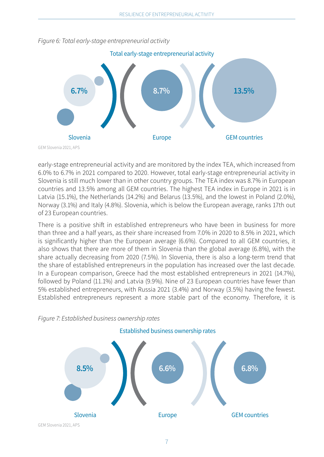

*Figure 6: Total early-stage entrepreneurial activity*

early-stage entrepreneurial activity and are monitored by the index TEA, which increased from 6.0% to 6.7% in 2021 compared to 2020. However, total early-stage entrepreneurial activity in Slovenia is still much lower than in other country groups. The TEA index was 8.7% in European countries and 13.5% among all GEM countries. The highest TEA index in Europe in 2021 is in Latvia (15.1%), the Netherlands (14.2%) and Belarus (13.5%), and the lowest in Poland (2.0%), Norway (3.1%) and Italy (4.8%). Slovenia, which is below the European average, ranks 17th out of 23 European countries.

There is a positive shift in established entrepreneurs who have been in business for more than three and a half years, as their share increased from 7.0% in 2020 to 8.5% in 2021, which is significantly higher than the European average (6.6%). Compared to all GEM countries, it also shows that there are more of them in Slovenia than the global average (6.8%), with the share actually decreasing from 2020 (7.5%). In Slovenia, there is also a long-term trend that the share of established entrepreneurs in the population has increased over the last decade. In a European comparison, Greece had the most established entrepreneurs in 2021 (14.7%), followed by Poland (11.1%) and Latvia (9.9%). Nine of 23 European countries have fewer than 5% established entrepreneurs, with Russia 2021 (3.4%) and Norway (3.5%) having the fewest. Established entrepreneurs represent a more stable part of the economy. Therefore, it is



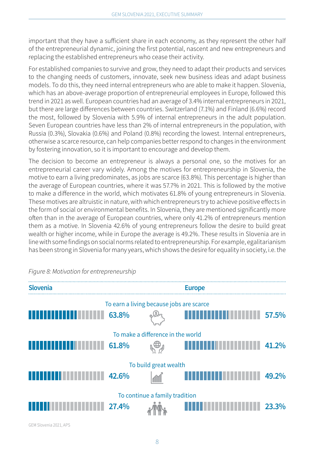important that they have a sufficient share in each economy, as they represent the other half of the entrepreneurial dynamic, joining the first potential, nascent and new entrepreneurs and replacing the established entrepreneurs who cease their activity.

For established companies to survive and grow, they need to adapt their products and services to the changing needs of customers, innovate, seek new business ideas and adapt business models. To do this, they need internal entrepreneurs who are able to make it happen. Slovenia, which has an above-average proportion of entrepreneurial employees in Europe, followed this trend in 2021 as well. European countries had an average of 3.4% internal entrepreneurs in 2021, but there are large differences between countries. Switzerland (7.1%) and Finland (6.6%) record the most, followed by Slovenia with 5.9% of internal entrepreneurs in the adult population. Seven European countries have less than 2% of internal entrepreneurs in the population, with Russia (0.3%), Slovakia (0.6%) and Poland (0.8%) recording the lowest. Internal entrepreneurs, otherwise a scarce resource, can help companies better respond to changes in the environment by fostering innovation, so it is important to encourage and develop them.

The decision to become an entrepreneur is always a personal one, so the motives for an entrepreneurial career vary widely. Among the motives for entrepreneurship in Slovenia, the motive to earn a living predominates, as jobs are scarce (63.8%). This percentage is higher than the average of European countries, where it was 57.7% in 2021. This is followed by the motive to make a difference in the world, which motivates 61.8% of young entrepreneurs in Slovenia. These motives are altruistic in nature, with which entrepreneurs try to achieve positive effects in the form of social or environmental benefits. In Slovenia, they are mentioned significantly more often than in the average of European countries, where only 41.2% of entrepreneurs mention them as a motive. In Slovenia 42.6% of young entrepreneurs follow the desire to build great wealth or higher income, while in Europe the average is 49.2%. These results in Slovenia are in line with some findings on social norms related to entrepreneurship. For example, egalitarianism has been strong in Slovenia for many years, which shows the desire for equality in society, i.e. the

| <b>Slovenia</b>                          | <b>Europe</b> |     |  |       |  |  |  |
|------------------------------------------|---------------|-----|--|-------|--|--|--|
| To earn a living because jobs are scarce |               |     |  |       |  |  |  |
|                                          | 63.8%         |     |  | 57.5% |  |  |  |
| To make a difference in the world        |               |     |  |       |  |  |  |
|                                          | 61.8%         | ℩、∰ |  | 41.2% |  |  |  |
| To build great wealth                    |               |     |  |       |  |  |  |
|                                          | 42.6%         |     |  | 49.2% |  |  |  |
| To continue a family tradition           |               |     |  |       |  |  |  |
|                                          | 27.4%         |     |  | 23.3% |  |  |  |

*Figure 8: Motivation for entrepreneurship*

GEM Slovenia 2021, APS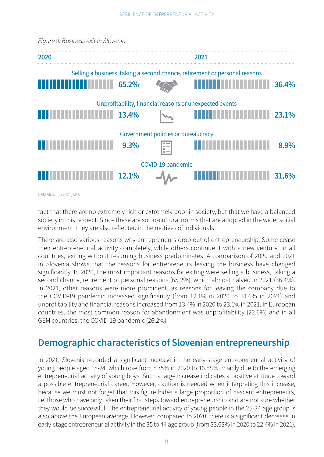

<span id="page-14-0"></span>*Figure 9: Business exit in Slovenia*

GEM Slovenia 2021, APS

fact that there are no extremely rich or extremely poor in society, but that we have a balanced society in this respect. Since these are socio-cultural norms that are adopted in the wider social environment, they are also reflected in the motives of individuals.

There are also various reasons why entrepreneurs drop out of entrepreneurship. Some cease their entrepreneurial activity completely, while others continue it with a new venture. In all countries, exiting without resuming business predominates. A comparison of 2020 and 2021 in Slovenia shows that the reasons for entrepreneurs leaving the business have changed significantly. In 2020, the most important reasons for exiting were selling a business, taking a second chance, retirement or personal reasons (65.2%), which almost halved in 2021 (36.4%). In 2021, other reasons were more prominent, as reasons for leaving the company due to the COVID-19 pandemic increased significantly (from 12.1% in 2020 to 31.6% in 2021) and unprofitability and financial reasons increased from 13.4% in 2020 to 23.1% in 2021. In European countries, the most common reason for abandonment was unprofitability (22.6%) and in all GEM countries, the COVID-19 pandemic (26.2%).

## **Demographic characteristics of Slovenian entrepreneurship**

In 2021, Slovenia recorded a significant increase in the early-stage entrepreneurial activity of young people aged 18-24, which rose from 5.75% in 2020 to 16.58%, mainly due to the emerging entrepreneurial activity of young boys. Such a large increase indicates a positive attitude toward a possible entrepreneurial career. However, caution is needed when interpreting this increase, because we must not forget that this figure hides a large proportion of nascent entrepreneurs, i.e. those who have only taken their first steps toward entrepreneurship and are not sure whether they would be successful. The entrepreneurial activity of young people in the 25-34 age group is also above the European average. However, compared to 2020, there is a significant decrease in early-stage entrepreneurial activity in the 35 to 44 age group (from 33.63% in 2020 to 22.4% in 2021).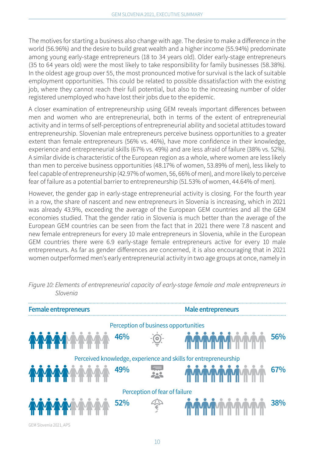The motives for starting a business also change with age. The desire to make a difference in the world (56.96%) and the desire to build great wealth and a higher income (55.94%) predominate among young early-stage entrepreneurs (18 to 34 years old). Older early-stage entrepreneurs (35 to 64 years old) were the most likely to take responsibility for family businesses (58.38%). In the oldest age group over 55, the most pronounced motive for survival is the lack of suitable employment opportunities. This could be related to possible dissatisfaction with the existing job, where they cannot reach their full potential, but also to the increasing number of older registered unemployed who have lost their jobs due to the epidemic.

A closer examination of entrepreneurship using GEM reveals important differences between men and women who are entrepreneurial, both in terms of the extent of entrepreneurial activity and in terms of self-perceptions of entrepreneurial ability and societal attitudes toward entrepreneurship. Slovenian male entrepreneurs perceive business opportunities to a greater extent than female entrepreneurs (56% vs. 46%), have more confidence in their knowledge, experience and entrepreneurial skills (67% vs. 49%) and are less afraid of failure (38% vs. 52%). A similar divide is characteristic of the European region as a whole, where women are less likely than men to perceive business opportunities (48.17% of women, 53.89% of men), less likely to feel capable of entrepreneurship (42.97% of women, 56, 66% of men), and more likely to perceive fear of failure as a potential barrier to entrepreneurship (51.53% of women, 44.64% of men).

However, the gender gap in early-stage entrepreneurial activity is closing. For the fourth year in a row, the share of nascent and new entrepreneurs in Slovenia is increasing, which in 2021 was already 43.9%, exceeding the average of the European GEM countries and all the GEM economies studied. That the gender ratio in Slovenia is much better than the average of the European GEM countries can be seen from the fact that in 2021 there were 7.8 nascent and new female entrepreneurs for every 10 male entrepreneurs in Slovenia, while in the European GEM countries there were 6.9 early-stage female entrepreneurs active for every 10 male entrepreneurs. As far as gender differences are concerned, it is also encouraging that in 2021 women outperformed men's early entrepreneurial activity in two age groups at once, namely in

| <b>Female entrepreneurs</b>                                     |               | Male entrepreneurs |     |  |  |  |
|-----------------------------------------------------------------|---------------|--------------------|-----|--|--|--|
| Perception of business opportunities                            |               |                    |     |  |  |  |
| 46%                                                             | $-\bigcirc$ . |                    | 56% |  |  |  |
| Perceived knowledge, experience and skills for entrepreneurship |               |                    |     |  |  |  |
| 49%                                                             |               |                    | 67% |  |  |  |
| Perception of fear of failure                                   |               |                    |     |  |  |  |
| 52%                                                             |               |                    | 38% |  |  |  |

*Figure 10: Elements of entrepreneurial capacity of early-stage female and male entrepreneurs in Slovenia*

GEM Slovenia 2021, APS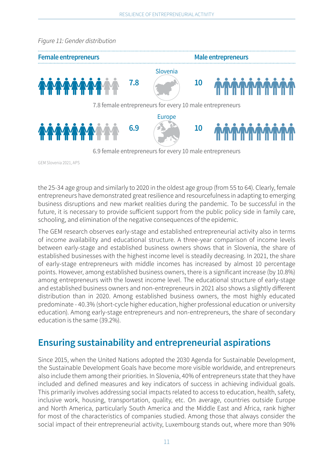<span id="page-16-0"></span>

GEM Slovenia 2021, APS

the 25-34 age group and similarly to 2020 in the oldest age group (from 55 to 64). Clearly, female entrepreneurs have demonstrated great resilience and resourcefulness in adapting to emerging business disruptions and new market realities during the pandemic. To be successful in the future, it is necessary to provide sufficient support from the public policy side in family care, schooling, and elimination of the negative consequences of the epidemic.

The GEM research observes early-stage and established entrepreneurial activity also in terms of income availability and educational structure. A three-year comparison of income levels between early-stage and established business owners shows that in Slovenia, the share of established businesses with the highest income level is steadily decreasing. In 2021, the share of early-stage entrepreneurs with middle incomes has increased by almost 10 percentage points. However, among established business owners, there is a significant increase (by 10.8%) among entrepreneurs with the lowest income level. The educational structure of early-stage and established business owners and non-entrepreneurs in 2021 also shows a slightly different distribution than in 2020. Among established business owners, the most highly educated predominate - 40.3% (short-cycle higher education, higher professional education or university education). Among early-stage entrepreneurs and non-entrepreneurs, the share of secondary education is the same (39.2%).

## **Ensuring sustainability and entrepreneurial aspirations**

Since 2015, when the United Nations adopted the 2030 Agenda for Sustainable Development, the Sustainable Development Goals have become more visible worldwide, and entrepreneurs also include them among their priorities. In Slovenia, 40% of entrepreneurs state that they have included and defined measures and key indicators of success in achieving individual goals. This primarily involves addressing social impacts related to access to education, health, safety, inclusive work, housing, transportation, quality, etc. On average, countries outside Europe and North America, particularly South America and the Middle East and Africa, rank higher for most of the characteristics of companies studied. Among those that always consider the social impact of their entrepreneurial activity, Luxembourg stands out, where more than 90%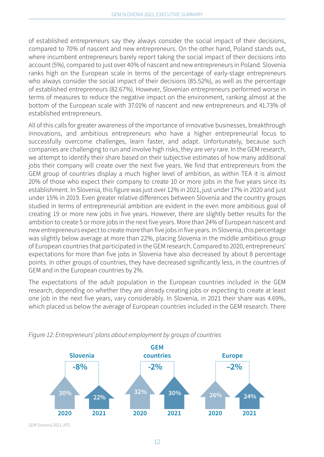of established entrepreneurs say they always consider the social impact of their decisions, compared to 70% of nascent and new entrepreneurs. On the other hand, Poland stands out, where incumbent entrepreneurs barely report taking the social impact of their decisions into account (5%), compared to just over 40% of nascent and new entrepreneurs in Poland. Slovenia ranks high on the European scale in terms of the percentage of early-stage entrepreneurs who always consider the social impact of their decisions (85.52%), as well as the percentage of established entrepreneurs (82.67%). However, Slovenian entrepreneurs performed worse in terms of measures to reduce the negative impact on the environment, ranking almost at the bottom of the European scale with 37.01% of nascent and new entrepreneurs and 41.73% of established entrepreneurs.

All of this calls for greater awareness of the importance of innovative businesses, breakthrough innovations, and ambitious entrepreneurs who have a higher entrepreneurial focus to successfully overcome challenges, learn faster, and adapt. Unfortunately, because such companies are challenging to run and involve high risks, they are very rare. In the GEM research, we attempt to identify their share based on their subjective estimates of how many additional jobs their company will create over the next five years. We find that entrepreneurs from the GEM group of countries display a much higher level of ambition, as within TEA it is almost 20% of those who expect their company to create 10 or more jobs in the five years since its establishment. In Slovenia, this figure was just over 12% in 2021, just under 17% in 2020 and just under 15% in 2019. Even greater relative differences between Slovenia and the country groups studied in terms of entrepreneurial ambition are evident in the even more ambitious goal of creating 19 or more new jobs in five years. However, there are slightly better results for the ambition to create 5 or more jobs in the next five years. More than 24% of European nascent and new entrepreneurs expect to create more than five jobs in five years. In Slovenia, this percentage was slightly below average at more than 22%, placing Slovenia in the middle ambitious group of European countries that participated in the GEM research. Compared to 2020, entrepreneurs' expectations for more than five jobs in Slovenia have also decreased by about 8 percentage points. In other groups of countries, they have decreased significantly less, in the countries of GEM and in the European countries by 2%.

The expectations of the adult population in the European countries included in the GEM research, depending on whether they are already creating jobs or expecting to create at least one job in the next five years, vary considerably. In Slovenia, in 2021 their share was 4.69%, which placed us below the average of European countries included in the GEM research. There



*Figure 12: Entrepreneurs' plans about employment by groups of countries*

GEM Slovenia 2021, APS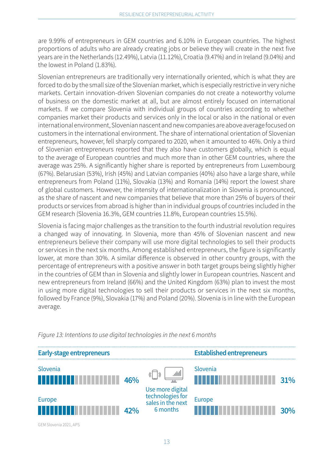are 9.99% of entrepreneurs in GEM countries and 6.10% in European countries. The highest proportions of adults who are already creating jobs or believe they will create in the next five years are in the Netherlands (12.49%), Latvia (11.12%), Croatia (9.47%) and in Ireland (9.04%) and the lowest in Poland (1.83%).

Slovenian entrepreneurs are traditionally very internationally oriented, which is what they are forced to do by the small size of the Slovenian market, which is especially restrictive in very niche markets. Certain innovation-driven Slovenian companies do not create a noteworthy volume of business on the domestic market at all, but are almost entirely focused on international markets. If we compare Slovenia with individual groups of countries according to whether companies market their products and services only in the local or also in the national or even international environment, Slovenian nascent and new companies are above average focused on customers in the international environment. The share of international orientation of Slovenian entrepreneurs, however, fell sharply compared to 2020, when it amounted to 46%. Only a third of Slovenian entrepreneurs reported that they also have customers globally, which is equal to the average of European countries and much more than in other GEM countries, where the average was 25%. A significantly higher share is reported by entrepreneurs from Luxembourg (67%). Belarusian (53%), Irish (45%) and Latvian companies (40%) also have a large share, while entrepreneurs from Poland (11%), Slovakia (13%) and Romania (14%) report the lowest share of global customers. However, the intensity of internationalization in Slovenia is pronounced, as the share of nascent and new companies that believe that more than 25% of buyers of their products or services from abroad is higher than in individual groups of countries included in the GEM research (Slovenia 16.3%, GEM countries 11.8%, European countries 15.5%).

Slovenia is facing major challenges as the transition to the fourth industrial revolution requires a changed way of innovating. In Slovenia, more than 45% of Slovenian nascent and new entrepreneurs believe their company will use more digital technologies to sell their products or services in the next six months. Among established entrepreneurs, the figure is significantly lower, at more than 30%. A similar difference is observed in other country groups, with the percentage of entrepreneurs with a positive answer in both target groups being slightly higher in the countries of GEM than in Slovenia and slightly lower in European countries. Nascent and new entrepreneurs from Ireland (66%) and the United Kingdom (63%) plan to invest the most in using more digital technologies to sell their products or services in the next six months, followed by France (9%), Slovakia (17%) and Poland (20%). Slovenia is in line with the European average.



*Figure 13: Intentions to use digital technologies in the next 6 months*

GEM Slovenia 2021, APS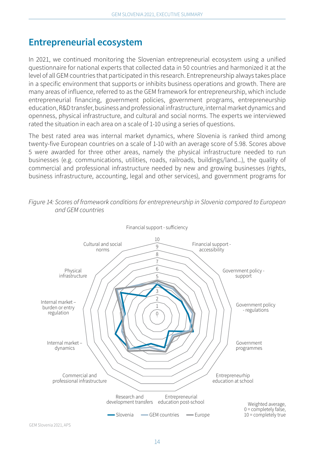## <span id="page-19-0"></span>**Entrepreneurial ecosystem**

In 2021, we continued monitoring the Slovenian entrepreneurial ecosystem using a unified questionnaire for national experts that collected data in 50 countries and harmonized it at the level of all GEM countries that participated in this research. Entrepreneurship always takes place in a specific environment that supports or inhibits business operations and growth. There are many areas of influence, referred to as the GEM framework for entrepreneurship, which include entrepreneurial financing, government policies, government programs, entrepreneurship education, R&D transfer, business and professional infrastructure, internal market dynamics and openness, physical infrastructure, and cultural and social norms. The experts we interviewed rated the situation in each area on a scale of 1-10 using a series of questions.

The best rated area was internal market dynamics, where Slovenia is ranked third among twenty-five European countries on a scale of 1-10 with an average score of 5.98. Scores above 5 were awarded for three other areas, namely the physical infrastructure needed to run businesses (e.g. communications, utilities, roads, railroads, buildings/land...), the quality of commercial and professional infrastructure needed by new and growing businesses (rights, business infrastructure, accounting, legal and other services), and government programs for



*Figure 14: Scores of framework conditions for entrepreneurship in Slovenia compared to European and GEM countries*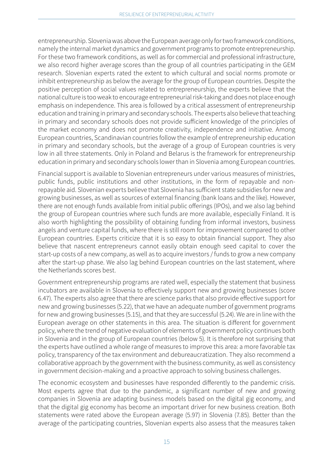entrepreneurship. Slovenia was above the European average only for two framework conditions, namely the internal market dynamics and government programs to promote entrepreneurship. For these two framework conditions, as well as for commercial and professional infrastructure, we also record higher average scores than the group of all countries participating in the GEM research. Slovenian experts rated the extent to which cultural and social norms promote or inhibit entrepreneurship as below the average for the group of European countries. Despite the positive perception of social values related to entrepreneurship, the experts believe that the national culture is too weak to encourage entrepreneurial risk-taking and does not place enough emphasis on independence. This area is followed by a critical assessment of entrepreneurship education and training in primary and secondary schools. The experts also believe that teaching in primary and secondary schools does not provide sufficient knowledge of the principles of the market economy and does not promote creativity, independence and initiative. Among European countries, Scandinavian countries follow the example of entrepreneurship education in primary and secondary schools, but the average of a group of European countries is very low in all three statements. Only in Poland and Belarus is the framework for entrepreneurship education in primary and secondary schools lower than in Slovenia among European countries.

Financial support is available to Slovenian entrepreneurs under various measures of ministries, public funds, public institutions and other institutions, in the form of repayable and nonrepayable aid. Slovenian experts believe that Slovenia has sufficient state subsidies for new and growing businesses, as well as sources of external financing (bank loans and the like). However, there are not enough funds available from initial public offerings (IPOs), and we also lag behind the group of European countries where such funds are more available, especially Finland. It is also worth highlighting the possibility of obtaining funding from informal investors, business angels and venture capital funds, where there is still room for improvement compared to other European countries. Experts criticize that it is so easy to obtain financial support. They also believe that nascent entrepreneurs cannot easily obtain enough seed capital to cover the start-up costs of a new company, as well as to acquire investors / funds to grow a new company after the start-up phase. We also lag behind European countries on the last statement, where the Netherlands scores best.

Government entrepreneurship programs are rated well, especially the statement that business incubators are available in Slovenia to effectively support new and growing businesses (score 6.47). The experts also agree that there are science parks that also provide effective support for new and growing businesses (5.22), that we have an adequate number of government programs for new and growing businesses (5.15), and that they are successful (5.24). We are in line with the European average on other statements in this area. The situation is different for government policy, where the trend of negative evaluation of elements of government policy continues both in Slovenia and in the group of European countries (below 5). It is therefore not surprising that the experts have outlined a whole range of measures to improve this area: a more favorable tax policy, transparency of the tax environment and debureaucratization. They also recommend a collaborative approach by the government with the business community, as well as consistency in government decision-making and a proactive approach to solving business challenges.

The economic ecosystem and businesses have responded differently to the pandemic crisis. Most experts agree that due to the pandemic, a significant number of new and growing companies in Slovenia are adapting business models based on the digital gig economy, and that the digital gig economy has become an important driver for new business creation. Both statements were rated above the European average (5.97) in Slovenia (7.85). Better than the average of the participating countries, Slovenian experts also assess that the measures taken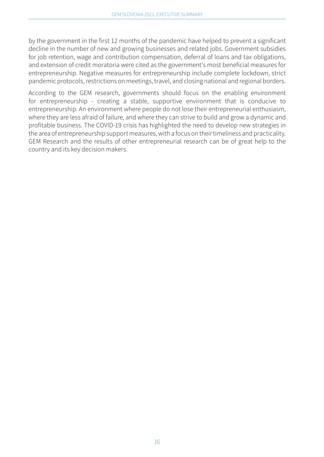by the government in the first 12 months of the pandemic have helped to prevent a significant decline in the number of new and growing businesses and related jobs. Government subsidies for job retention, wage and contribution compensation, deferral of loans and tax obligations, and extension of credit moratoria were cited as the government's most beneficial measures for entrepreneurship. Negative measures for entrepreneurship include complete lockdown, strict pandemic protocols, restrictions on meetings, travel, and closing national and regional borders.

According to the GEM research, governments should focus on the enabling environment for entrepreneurship - creating a stable, supportive environment that is conducive to entrepreneurship. An environment where people do not lose their entrepreneurial enthusiasm, where they are less afraid of failure, and where they can strive to build and grow a dynamic and profitable business. The COVID-19 crisis has highlighted the need to develop new strategies in the area of entrepreneurship support measures, with a focus on their timeliness and practicality. GEM Research and the results of other entrepreneurial research can be of great help to the country and its key decision makers.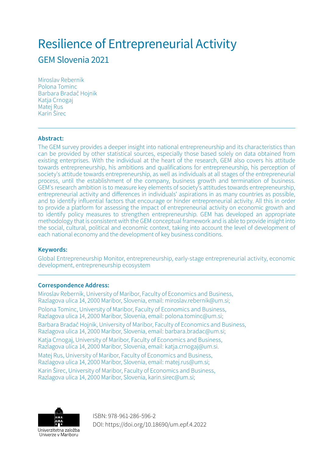## Resilience of Entrepreneurial Activity

GEM Slovenia 2021

Miroslav Rebernik Polona Tominc Barbara Bradač Hojnik Katja Crnogaj Matej Rus Karin Širec

#### **Abstract:**

The GEM survey provides a deeper insight into national entrepreneurship and its characteristics than can be provided by other statistical sources, especially those based solely on data obtained from existing enterprises. With the individual at the heart of the research, GEM also covers his attitude towards entrepreneurship, his ambitions and qualifications for entrepreneurship, his perception of society's attitude towards entrepreneurship, as well as individuals at all stages of the entrepreneurial process, until the establishment of the company, business growth and termination of business. GEM's research ambition is to measure key elements of society's attitudes towards entrepreneurship, entrepreneurial activity and differences in individuals' aspirations in as many countries as possible, and to identify influential factors that encourage or hinder entrepreneurial activity. All this in order to provide a platform for assessing the impact of entrepreneurial activity on economic growth and to identify policy measures to strengthen entrepreneurship. GEM has developed an appropriate methodology that is consistent with the GEM conceptual framework and is able to provide insight into the social, cultural, political and economic context, taking into account the level of development of each national economy and the development of key business conditions.

#### **Keywords:**

Global Entrepreneurship Monitor, entrepreneurship, early-stage entrepreneurial activity, economic development, entrepreneurship ecosystem

#### **Correspondence Address:**

Miroslav Rebernik, University of Maribor, Faculty of Economics and Business, Razlagova ulica 14, 2000 Maribor, Slovenia, email: miroslav.rebernik@um.si; Polona Tominc, University of Maribor, Faculty of Economics and Business, Razlagova ulica 14, 2000 Maribor, Slovenia, email: polona.tominc@um.si; Barbara Bradač Hojnik, University of Maribor, Faculty of Economics and Business, Razlagova ulica 14, 2000 Maribor, Slovenia, email: barbara.bradac@um.si; Katja Crnogaj, University of Maribor, Faculty of Economics and Business, Razlagova ulica 14, 2000 Maribor, Slovenia, email: katja.crnogaj@um.si.

Matej Rus, University of Maribor, Faculty of Economics and Business, Razlagova ulica 14, 2000 Maribor, Slovenia, email: matej.rus@um.si;

Karin Širec, University of Maribor, Faculty of Economics and Business, Razlagova ulica 14, 2000 Maribor, Slovenia, karin.sirec@um.si;



ISBN: 978-961-286-596-2 DOI: https://doi.org/10.18690/um.epf.4.2022